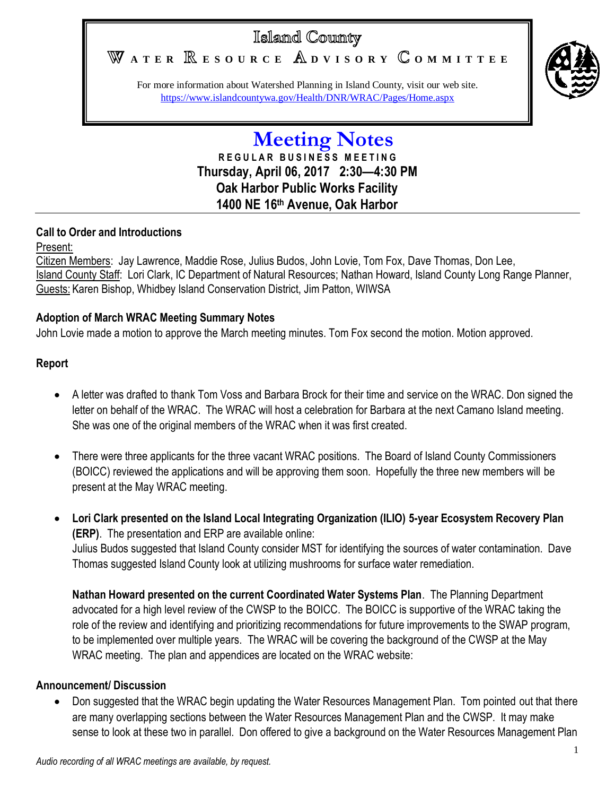# Islamd County

WATER **RESOURCE** ADVISORY COMMITTEE



For more information about Watershed Planning in Island County, visit our web site. <https://www.islandcountywa.gov/Health/DNR/WRAC/Pages/Home.aspx>

> **Meeting Notes R E G U L A R B U S I N E S S M E E T I N G Thursday, April 06, 2017 2:30—4:30 PM Oak Harbor Public Works Facility 1400 NE 16th Avenue, Oak Harbor**

## **Call to Order and Introductions**

Present:

Citizen Members: Jay Lawrence, Maddie Rose, Julius Budos, John Lovie, Tom Fox, Dave Thomas, Don Lee, Island County Staff: Lori Clark, IC Department of Natural Resources; Nathan Howard, Island County Long Range Planner, Guests: Karen Bishop, Whidbey Island Conservation District, Jim Patton, WIWSA

## **Adoption of March WRAC Meeting Summary Notes**

John Lovie made a motion to approve the March meeting minutes. Tom Fox second the motion. Motion approved.

## **Report**

- A letter was drafted to thank Tom Voss and Barbara Brock for their time and service on the WRAC. Don signed the letter on behalf of the WRAC. The WRAC will host a celebration for Barbara at the next Camano Island meeting. She was one of the original members of the WRAC when it was first created.
- There were three applicants for the three vacant WRAC positions. The Board of Island County Commissioners (BOICC) reviewed the applications and will be approving them soon. Hopefully the three new members will be present at the May WRAC meeting.
- **Lori Clark presented on the Island Local Integrating Organization (ILIO) 5-year Ecosystem Recovery Plan (ERP)**. The presentation and ERP are available online: Julius Budos suggested that Island County consider MST for identifying the sources of water contamination. Dave Thomas suggested Island County look at utilizing mushrooms for surface water remediation.

**Nathan Howard presented on the current Coordinated Water Systems Plan**. The Planning Department advocated for a high level review of the CWSP to the BOICC. The BOICC is supportive of the WRAC taking the role of the review and identifying and prioritizing recommendations for future improvements to the SWAP program, to be implemented over multiple years. The WRAC will be covering the background of the CWSP at the May WRAC meeting. The plan and appendices are located on the WRAC website:

### **Announcement/ Discussion**

 Don suggested that the WRAC begin updating the Water Resources Management Plan. Tom pointed out that there are many overlapping sections between the Water Resources Management Plan and the CWSP. It may make sense to look at these two in parallel. Don offered to give a background on the Water Resources Management Plan